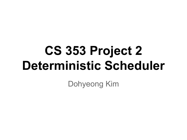# **CS 353 Project 2 Deterministic Scheduler**

Dohyeong Kim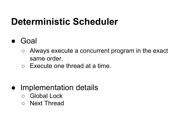### **Deterministic Scheduler**

- Goal
	- Always execute a concurrent program in the exact same order.
	- Execute one thread at a time.
- Implementation details
	- Global Lock
	- Next Thread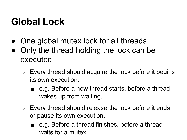### **Global Lock**

- One global mutex lock for all threads.
- Only the thread holding the lock can be executed.
	- $\circ$  Every thread should acquire the lock before it begins its own execution.
		- e.g. Before a new thread starts, before a thread wakes up from waiting, ...
	- Every thread should release the lock before it ends or pause its own execution.
		- e.g. Before a thread finishes, before a thread waits for a mutex, ...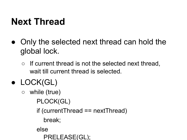### **Next Thread**

- Only the selected next thread can hold the global lock.
	- $\circ$  If current thread is not the selected next thread, wait till current thread is selected.

### ● LOCK(GL)

- while (true)
	- PLOCK(GL)
	- if (currentThread == nextThread)
		- break;
	- else
		- PRELEASE(GL);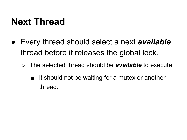### **Next Thread**

- Every thread should select a next *available* thread before it releases the global lock.
	- The selected thread should be *available* to execute.
		- it should not be waiting for a mutex or another thread.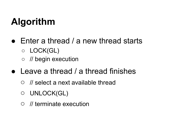- $\bullet$  Enter a thread / a new thread starts ○ LOCK(GL)
	- // begin execution
- $\bullet$  Leave a thread / a thread finishes
	- // select a next available thread
	- UNLOCK(GL)
	- // terminate execution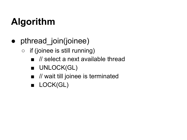- pthread join(joinee)
	- if (joinee is still running)
		- $\blacksquare$  // select a next available thread
		- UNLOCK(GL)
		- // wait till joinee is terminated
		- LOCK(GL)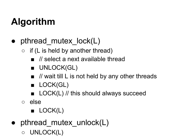- pthread mutex lock(L)
	- $\circ$  if (L is held by another thread)
		- $\frac{1}{2}$  select a next available thread
		- UNLOCK(GL)
		- $\blacksquare$  // wait till L is not held by any other threads
		- LOCK(GL)
		- LOCK(L) // this should always succeed
	- else
		- LOCK(L)
- $\bullet$  pthread mutex unlock(L)
	- UNLOCK(L)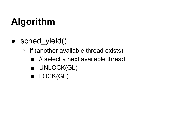- sched\_yield()
	- if (another available thread exists)
		- $\blacksquare$  // select a next available thread
		- UNLOCK(GL)
		- LOCK(GL)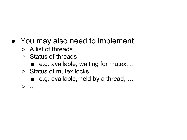#### • You may also need to implement

- A list of threads
- Status of threads
	- e.g. available, waiting for mutex, ...
- Status of mutex locks
	- e.g. available, held by a thread, ...

 $\circ$  ...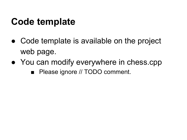### **Code template**

- Code template is available on the project web page.
- You can modify everywhere in chess.cpp
	- Please ignore // TODO comment.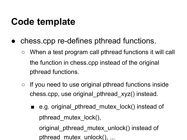### **Code template**

- chess.cpp re-defines pthread functions.
	- When a test program call pthread functions it will call the function in chess.cpp instead of the original pthread functions.
	- If you need to use original pthread functions inside chess.cpp, use original\_pthread\_xyz() instead.
		- e.g. original pthread mutex lock() instead of pthread\_mutex\_lock(),

original pthread mutex unlock() instead of pthread\_mutex\_unlock(), ...